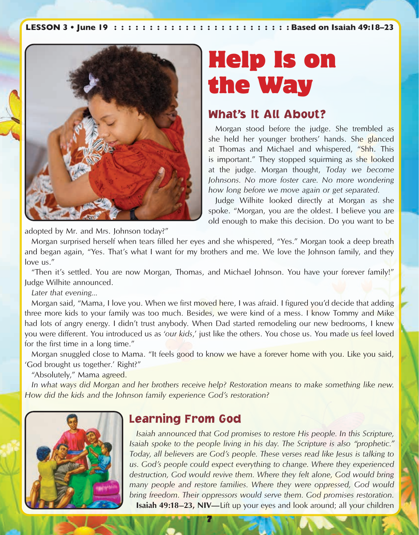

# Help Is on the Way

#### What's It All About?

Morgan stood before the judge. She trembled as she held her younger brothers' hands. She glanced at Thomas and Michael and whispered, "Shh. This is important." They stopped squirming as she looked at the judge. Morgan thought, *Today we become Johnsons. No more foster care. No more wondering how long before we move again or get separated*.

Judge Wilhite looked directly at Morgan as she spoke. "Morgan, you are the oldest. I believe you are old enough to make this decision. Do you want to be

adopted by Mr. and Mrs. Johnson today?"

Morgan surprised herself when tears filled her eyes and she whispered, "Yes." Morgan took a deep breath and began again, "Yes. That's what I want for my brothers and me. We love the Johnson family, and they love us."

"Then it's settled. You are now Morgan, Thomas, and Michael Johnson. You have your forever family!" Judge Wilhite announced.

*Later that evening...*

Morgan said, "Mama, I love you. When we first moved here, I was afraid. I figured you'd decide that adding three more kids to your family was too much. Besides, we were kind of a mess. I know Tommy and Mike had lots of angry energy. I didn't trust anybody. When Dad started remodeling our new bedrooms, I knew you were different. You introduced us as '*our kids*,' just like the others. You chose us. You made us feel loved for the first time in a long time."

Morgan snuggled close to Mama. "It feels good to know we have a forever home with you. Like you said, 'God brought us together.' Right?"

"Absolutely," Mama agreed.

*In what ways did Morgan and her brothers receive help? Restoration means to make something like new. How did the kids and the Johnson family experience God's restoration?*



## Learning From God

*Isaiah announced that God promises to restore His people. In this Scripture, Isaiah spoke to the people living in his day. The Scripture is also "prophetic." Today, all believers are God's people. These verses read like Jesus is talking to us. God's people could expect everything to change. Where they experienced destruction, God would revive them. Where they felt alone, God would bring many people and restore families. Where they were oppressed, God would bring freedom. Their oppressors would serve them. God promises restoration.* **Isaiah 49:18–23, NIV—Lift up your eyes and look around; all your children** 

7 7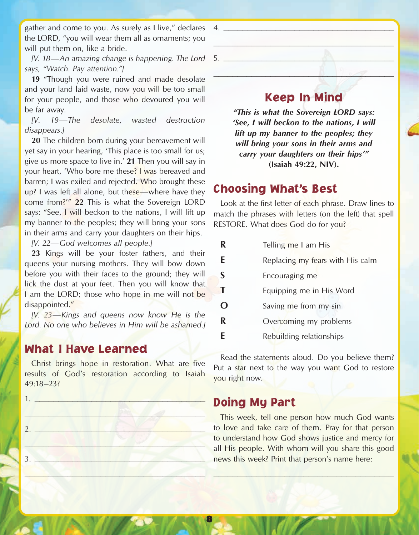gather and come to you. As surely as I live," declares the LORD, "you will wear them all as ornaments; you will put them on, like a bride.

*[V. 18—An amazing change is happening. The Lord*  5. \_\_\_\_\_\_\_\_\_\_\_\_\_\_\_\_\_\_\_\_\_\_\_\_\_\_\_\_\_\_\_\_\_\_\_\_ *says, "Watch. Pay attention."]*

**19** "Though you were ruined and made desolate and your land laid waste, now you will be too small for your people, and those who devoured you will be far away.

*[V. 19—The desolate, wasted destruction disappears.]*

**20** The children born during your bereavement will yet say in your hearing, 'This place is too small for us; give us more space to live in.' **21** Then you will say in your heart, 'Who bore me these? I was bereaved and barren; I was exiled and rejected. Who brought these up? I was left all alone, but these—where have they come from?'" **22** This is what the Sovereign LORD says: "See, I will beckon to the nations, I will lift up my banner to the peoples; they will bring your sons in their arms and carry your daughters on their hips.

*[V. 22—God welcomes all people.]*

**23** Kings will be your foster fathers, and their queens your nursing mothers. They will bow down before you with their faces to the ground; they will lick the dust at your feet. Then you will know that I am the LORD; those who hope in me will not be disappointed."

*[V. 23—Kings and queens now know He is the Lord. No one who believes in Him will be ashamed.]*

## What I Have Learned

Christ brings hope in restoration. What are five results of God's restoration according to Isaiah 49:18–23?

3. \_\_\_\_\_\_\_\_\_\_\_\_\_\_\_\_\_\_\_\_\_\_\_\_\_\_\_\_\_\_\_\_\_\_\_\_

\_\_\_\_\_\_\_\_\_\_\_\_\_\_\_\_\_\_\_\_\_\_\_\_\_\_\_\_\_\_\_\_\_\_\_\_\_\_

1. \_\_\_\_\_\_\_\_\_\_\_\_\_\_\_\_\_\_\_\_\_\_\_\_\_\_\_\_\_\_\_\_\_\_\_\_  $\overline{\phantom{a}}$  $2.$   $\blacksquare$  $\mathcal{L}$  , we have the set of the set of the set of the set of the set of the set of the set of the set of the set of the set of the set of the set of the set of the set of the set of the set of the set of the set of the

 $\mathcal{L}=\mathcal{L}^{\mathcal{L}}$  , where  $\mathcal{L}^{\mathcal{L}}$  , we have the set of  $\mathcal{L}^{\mathcal{L}}$  $\Box$ Keep In Mind

> *"This is what the Sovereign LORD says: 'See, I will beckon to the nations, I will lift up my banner to the peoples; they will bring your sons in their arms and carry your daughters on their hips'"* **(Isaiah 49:22, NIV).**

## Choosing What's Best

 $4.$ 

Look at the first letter of each phrase. Draw lines to match the phrases with letters (on the left) that spell RESTORE. What does God do for you?

| R        | Telling me I am His              |
|----------|----------------------------------|
| E        | Replacing my fears with His calm |
| S        | Encouraging me                   |
| Т        | Equipping me in His Word         |
| $\Omega$ | Saving me from my sin            |
| R        | Overcoming my problems           |
| F        | Rebuilding relationships         |

Read the statements aloud. Do you believe them? Put a star next to the way you want God to restore you right now.

## Doing My Part

8

This week, tell one person how much God wants to love and take care of them. Pray for that person to understand how God shows justice and mercy for all His people. With whom will you share this good news this week? Print that person's name here:

 $\frac{1}{2}$  ,  $\frac{1}{2}$  ,  $\frac{1}{2}$  ,  $\frac{1}{2}$  ,  $\frac{1}{2}$  ,  $\frac{1}{2}$  ,  $\frac{1}{2}$  ,  $\frac{1}{2}$  ,  $\frac{1}{2}$  ,  $\frac{1}{2}$  ,  $\frac{1}{2}$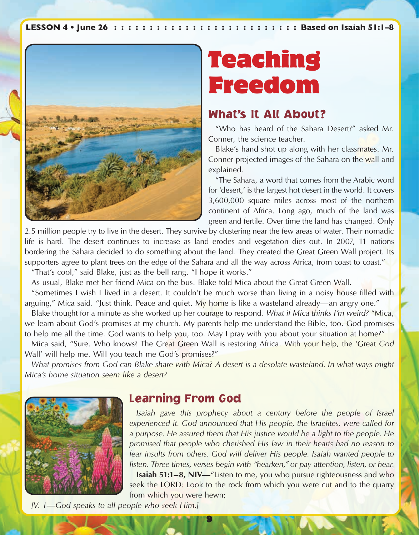

# Teaching Freedom

#### What's It All About?

"Who has heard of the Sahara Desert?" asked Mr. Conner, the science teacher.

Blake's hand shot up along with her classmates. Mr. Conner projected images of the Sahara on the wall and explained.

"The Sahara, a word that comes from the Arabic word for 'desert,' is the largest hot desert in the world. It covers 3,600,000 square miles across most of the northern continent of Africa. Long ago, much of the land was green and fertile. Over time the land has changed. Only

2.5 million people try to live in the desert. They survive by clustering near the few areas of water. Their nomadic life is hard. The desert continues to increase as land erodes and vegetation dies out. In 2007, 11 nations bordering the Sahara decided to do something about the land. They created the Great Green Wall project. Its supporters agree to plant trees on the edge of the Sahara and all the way across Africa, from coast to coast." "That's cool," said Blake, just as the bell rang. "I hope it works."

As usual, Blake met her friend Mica on the bus. Blake told Mica about the Great Green Wall.

"Sometimes I wish I lived in a desert. It couldn't be much worse than living in a noisy house filled with arguing," Mica said. "Just think. Peace and quiet. My home is like a wasteland already—an angry one."

Blake thought for a minute as she worked up her courage to respond. *What if Mica thinks I'm weird?* "Mica, we learn about God's promises at my church. My parents help me understand the Bible, too. God promises to help me all the time. God wants to help you, too. May I pray with you about your situation at home?"

Mica said, "Sure. Who knows? The Great Green Wall is restoring Africa. With your help, the 'Great *God* Wall' will help me. Will you teach me God's promises?"

*What promises from God can Blake share with Mica? A desert is a desolate wasteland. In what ways might Mica's home situation seem like a desert?*



9 9

## Learning From God

*Isaiah gave this prophecy about a century before the people of Israel experienced it. God announced that His people, the Israelites, were called for a purpose. He assured them that His justice would be a light to the people. He promised that people who cherished His law in their hearts had no reason to fear insults from others. God will deliver His people. Isaiah wanted people to listen. Three times, verses begin with "hearken," or pay attention, listen, or hear.*

**Isaiah 51:1–8, NIV—**"Listen to me, you who pursue righteousness and who seek the LORD: Look to the rock from which you were cut and to the quarry from which you were hewn;

*[V. 1—God speaks to all people who seek Him.]*